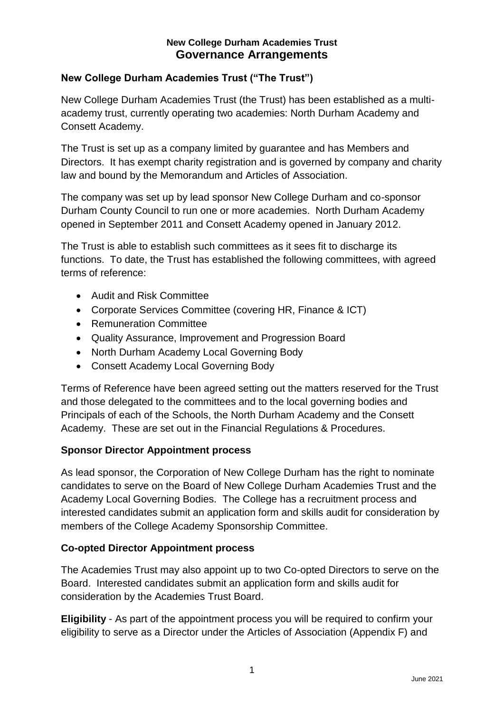## **New College Durham Academies Trust Governance Arrangements**

# **New College Durham Academies Trust ("The Trust")**

New College Durham Academies Trust (the Trust) has been established as a multiacademy trust, currently operating two academies: North Durham Academy and Consett Academy.

The Trust is set up as a company limited by guarantee and has Members and Directors. It has exempt charity registration and is governed by company and charity law and bound by the Memorandum and Articles of Association.

The company was set up by lead sponsor New College Durham and co-sponsor Durham County Council to run one or more academies. North Durham Academy opened in September 2011 and Consett Academy opened in January 2012.

The Trust is able to establish such committees as it sees fit to discharge its functions. To date, the Trust has established the following committees, with agreed terms of reference:

- Audit and Risk Committee
- Corporate Services Committee (covering HR, Finance & ICT)
- Remuneration Committee
- Quality Assurance, Improvement and Progression Board
- North Durham Academy Local Governing Body
- Consett Academy Local Governing Body

Terms of Reference have been agreed setting out the matters reserved for the Trust and those delegated to the committees and to the local governing bodies and Principals of each of the Schools, the North Durham Academy and the Consett Academy. These are set out in the Financial Regulations & Procedures.

#### **Sponsor Director Appointment process**

As lead sponsor, the Corporation of New College Durham has the right to nominate candidates to serve on the Board of New College Durham Academies Trust and the Academy Local Governing Bodies. The College has a recruitment process and interested candidates submit an application form and skills audit for consideration by members of the College Academy Sponsorship Committee.

#### **Co-opted Director Appointment process**

The Academies Trust may also appoint up to two Co-opted Directors to serve on the Board. Interested candidates submit an application form and skills audit for consideration by the Academies Trust Board.

**Eligibility** - As part of the appointment process you will be required to confirm your eligibility to serve as a Director under the Articles of Association (Appendix F) and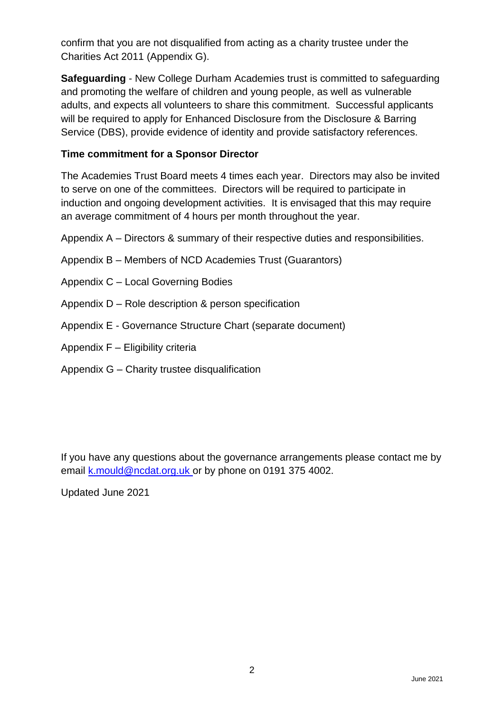confirm that you are not disqualified from acting as a charity trustee under the Charities Act 2011 (Appendix G).

**Safeguarding** - New College Durham Academies trust is committed to safeguarding and promoting the welfare of children and young people, as well as vulnerable adults, and expects all volunteers to share this commitment. Successful applicants will be required to apply for Enhanced Disclosure from the Disclosure & Barring Service (DBS), provide evidence of identity and provide satisfactory references.

#### **Time commitment for a Sponsor Director**

The Academies Trust Board meets 4 times each year. Directors may also be invited to serve on one of the committees. Directors will be required to participate in induction and ongoing development activities. It is envisaged that this may require an average commitment of 4 hours per month throughout the year.

Appendix A – Directors & summary of their respective duties and responsibilities.

- Appendix B Members of NCD Academies Trust (Guarantors)
- Appendix C Local Governing Bodies
- Appendix D Role description & person specification
- Appendix E Governance Structure Chart (separate document)
- Appendix F Eligibility criteria
- Appendix G Charity trustee disqualification

If you have any questions about the governance arrangements please contact me by email [k.mould@ncdat.org.uk](mailto:k.mould@ncdat.org.uk) or by phone on 0191 375 4002.

Updated June 2021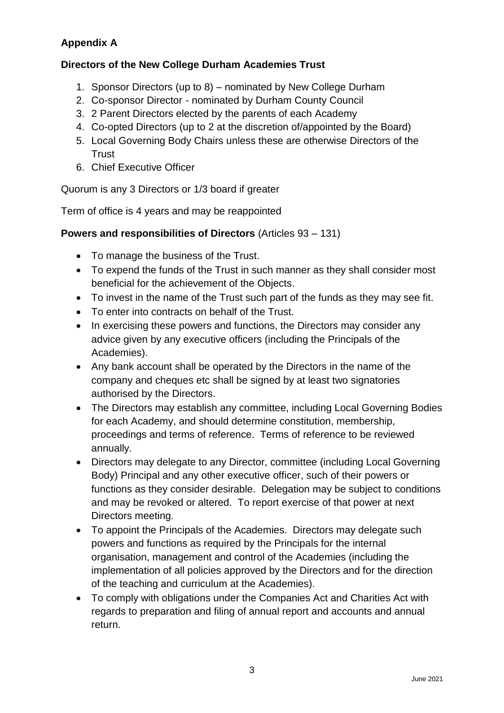# **Appendix A**

# **Directors of the New College Durham Academies Trust**

- 1. Sponsor Directors (up to 8) nominated by New College Durham
- 2. Co-sponsor Director nominated by Durham County Council
- 3. 2 Parent Directors elected by the parents of each Academy
- 4. Co-opted Directors (up to 2 at the discretion of/appointed by the Board)
- 5. Local Governing Body Chairs unless these are otherwise Directors of the **Trust**
- 6. Chief Executive Officer

Quorum is any 3 Directors or 1/3 board if greater

Term of office is 4 years and may be reappointed

# **Powers and responsibilities of Directors** (Articles 93 – 131)

- To manage the business of the Trust.
- To expend the funds of the Trust in such manner as they shall consider most beneficial for the achievement of the Objects.
- To invest in the name of the Trust such part of the funds as they may see fit.
- To enter into contracts on behalf of the Trust.
- In exercising these powers and functions, the Directors may consider any advice given by any executive officers (including the Principals of the Academies).
- Any bank account shall be operated by the Directors in the name of the company and cheques etc shall be signed by at least two signatories authorised by the Directors.
- The Directors may establish any committee, including Local Governing Bodies for each Academy, and should determine constitution, membership, proceedings and terms of reference. Terms of reference to be reviewed annually.
- Directors may delegate to any Director, committee (including Local Governing Body) Principal and any other executive officer, such of their powers or functions as they consider desirable. Delegation may be subject to conditions and may be revoked or altered. To report exercise of that power at next Directors meeting.
- To appoint the Principals of the Academies. Directors may delegate such powers and functions as required by the Principals for the internal organisation, management and control of the Academies (including the implementation of all policies approved by the Directors and for the direction of the teaching and curriculum at the Academies).
- To comply with obligations under the Companies Act and Charities Act with regards to preparation and filing of annual report and accounts and annual return.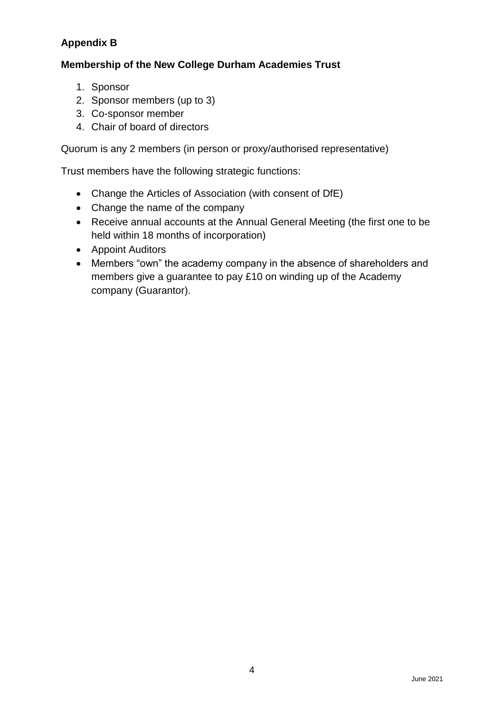# **Appendix B**

## **Membership of the New College Durham Academies Trust**

- 1. Sponsor
- 2. Sponsor members (up to 3)
- 3. Co-sponsor member
- 4. Chair of board of directors

Quorum is any 2 members (in person or proxy/authorised representative)

Trust members have the following strategic functions:

- Change the Articles of Association (with consent of DfE)
- Change the name of the company
- Receive annual accounts at the Annual General Meeting (the first one to be held within 18 months of incorporation)
- Appoint Auditors
- Members "own" the academy company in the absence of shareholders and members give a guarantee to pay £10 on winding up of the Academy company (Guarantor).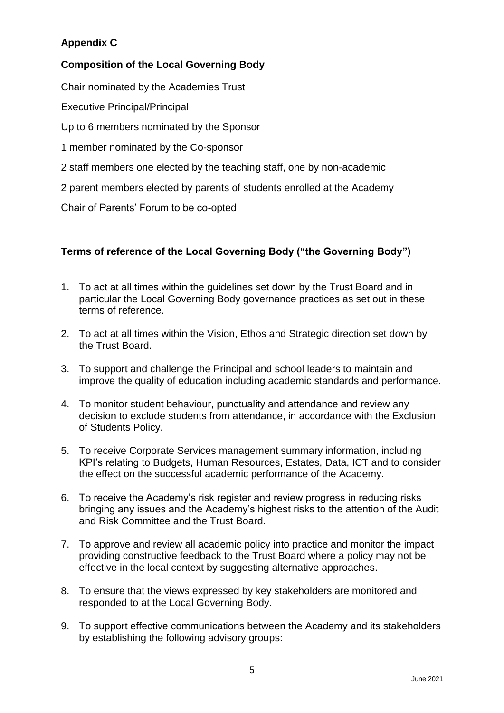# **Appendix C**

# **Composition of the Local Governing Body**

Chair nominated by the Academies Trust

Executive Principal/Principal

Up to 6 members nominated by the Sponsor

1 member nominated by the Co-sponsor

2 staff members one elected by the teaching staff, one by non-academic

2 parent members elected by parents of students enrolled at the Academy

Chair of Parents' Forum to be co-opted

#### **Terms of reference of the Local Governing Body ("the Governing Body")**

- 1. To act at all times within the guidelines set down by the Trust Board and in particular the Local Governing Body governance practices as set out in these terms of reference.
- 2. To act at all times within the Vision, Ethos and Strategic direction set down by the Trust Board.
- 3. To support and challenge the Principal and school leaders to maintain and improve the quality of education including academic standards and performance.
- 4. To monitor student behaviour, punctuality and attendance and review any decision to exclude students from attendance, in accordance with the Exclusion of Students Policy.
- 5. To receive Corporate Services management summary information, including KPI's relating to Budgets, Human Resources, Estates, Data, ICT and to consider the effect on the successful academic performance of the Academy.
- 6. To receive the Academy's risk register and review progress in reducing risks bringing any issues and the Academy's highest risks to the attention of the Audit and Risk Committee and the Trust Board.
- 7. To approve and review all academic policy into practice and monitor the impact providing constructive feedback to the Trust Board where a policy may not be effective in the local context by suggesting alternative approaches.
- 8. To ensure that the views expressed by key stakeholders are monitored and responded to at the Local Governing Body.
- 9. To support effective communications between the Academy and its stakeholders by establishing the following advisory groups:

5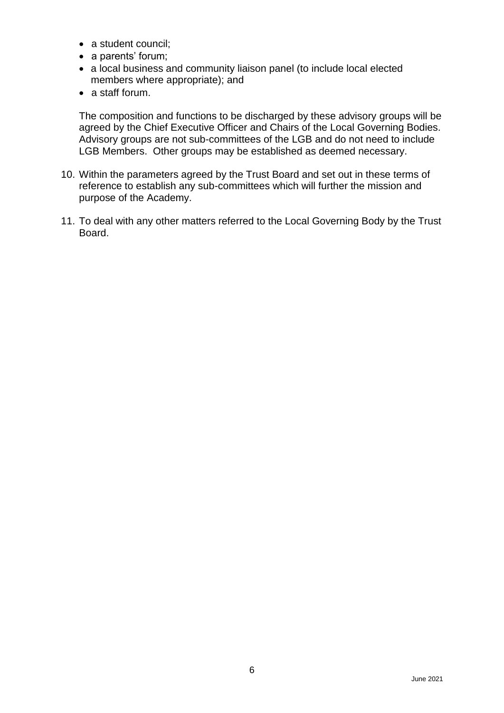- a student council:
- a parents' forum;
- a local business and community liaison panel (to include local elected members where appropriate); and
- a staff forum.

The composition and functions to be discharged by these advisory groups will be agreed by the Chief Executive Officer and Chairs of the Local Governing Bodies. Advisory groups are not sub-committees of the LGB and do not need to include LGB Members. Other groups may be established as deemed necessary.

- 10. Within the parameters agreed by the Trust Board and set out in these terms of reference to establish any sub-committees which will further the mission and purpose of the Academy.
- 11. To deal with any other matters referred to the Local Governing Body by the Trust Board.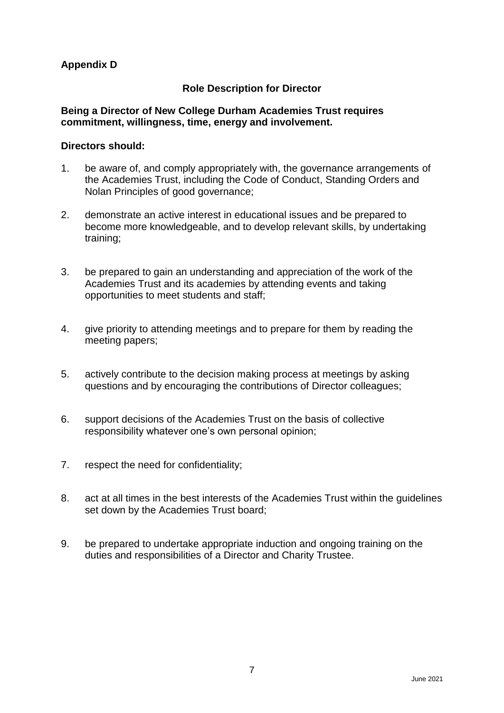# **Appendix D**

#### **Role Description for Director**

#### **Being a Director of New College Durham Academies Trust requires commitment, willingness, time, energy and involvement.**

#### **Directors should:**

- 1. be aware of, and comply appropriately with, the governance arrangements of the Academies Trust, including the Code of Conduct, Standing Orders and Nolan Principles of good governance;
- 2. demonstrate an active interest in educational issues and be prepared to become more knowledgeable, and to develop relevant skills, by undertaking training;
- 3. be prepared to gain an understanding and appreciation of the work of the Academies Trust and its academies by attending events and taking opportunities to meet students and staff;
- 4. give priority to attending meetings and to prepare for them by reading the meeting papers;
- 5. actively contribute to the decision making process at meetings by asking questions and by encouraging the contributions of Director colleagues;
- 6. support decisions of the Academies Trust on the basis of collective responsibility whatever one's own personal opinion;
- 7. respect the need for confidentiality;
- 8. act at all times in the best interests of the Academies Trust within the guidelines set down by the Academies Trust board;
- 9. be prepared to undertake appropriate induction and ongoing training on the duties and responsibilities of a Director and Charity Trustee.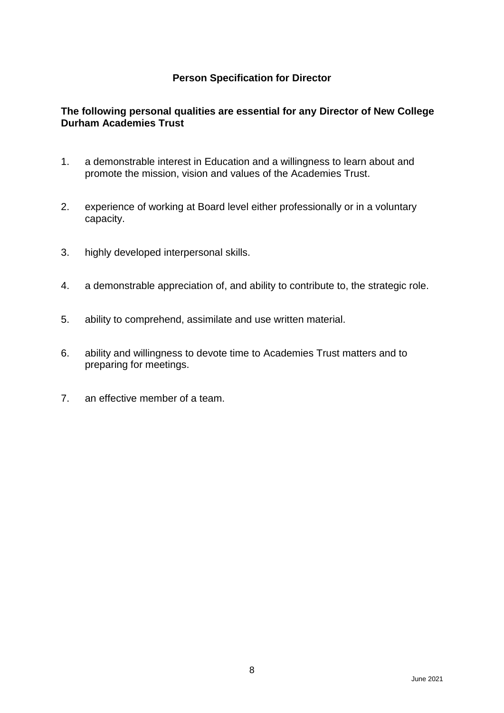#### **Person Specification for Director**

#### **The following personal qualities are essential for any Director of New College Durham Academies Trust**

- 1. a demonstrable interest in Education and a willingness to learn about and promote the mission, vision and values of the Academies Trust.
- 2. experience of working at Board level either professionally or in a voluntary capacity.
- 3. highly developed interpersonal skills.
- 4. a demonstrable appreciation of, and ability to contribute to, the strategic role.
- 5. ability to comprehend, assimilate and use written material.
- 6. ability and willingness to devote time to Academies Trust matters and to preparing for meetings.
- 7. an effective member of a team.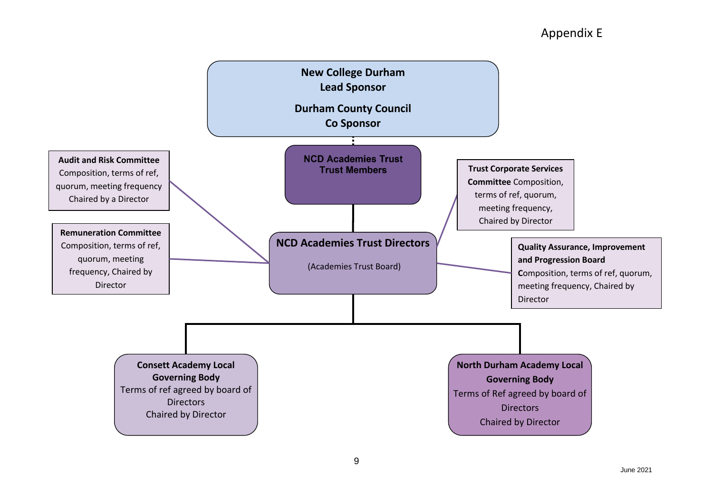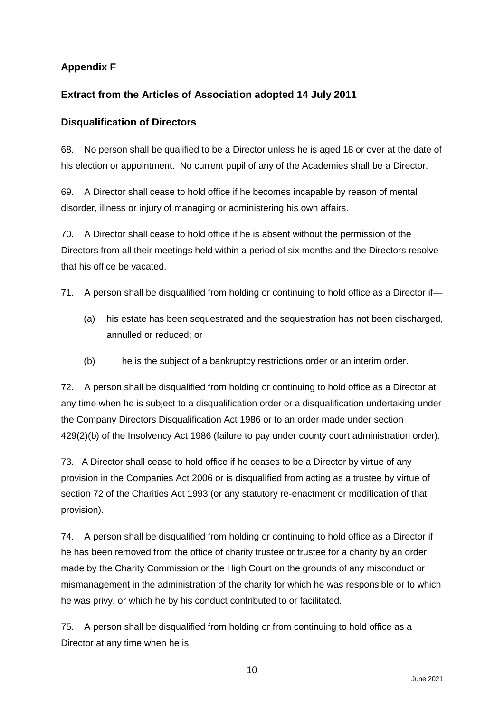# **Appendix F**

# **Extract from the Articles of Association adopted 14 July 2011**

#### **Disqualification of Directors**

68. No person shall be qualified to be a Director unless he is aged 18 or over at the date of his election or appointment. No current pupil of any of the Academies shall be a Director.

69. A Director shall cease to hold office if he becomes incapable by reason of mental disorder, illness or injury of managing or administering his own affairs.

70. A Director shall cease to hold office if he is absent without the permission of the Directors from all their meetings held within a period of six months and the Directors resolve that his office be vacated.

71. A person shall be disqualified from holding or continuing to hold office as a Director if—

- (a) his estate has been sequestrated and the sequestration has not been discharged, annulled or reduced; or
- (b) he is the subject of a bankruptcy restrictions order or an interim order.

72. A person shall be disqualified from holding or continuing to hold office as a Director at any time when he is subject to a disqualification order or a disqualification undertaking under the Company Directors Disqualification Act 1986 or to an order made under section 429(2)(b) of the Insolvency Act 1986 (failure to pay under county court administration order).

73. A Director shall cease to hold office if he ceases to be a Director by virtue of any provision in the Companies Act 2006 or is disqualified from acting as a trustee by virtue of section 72 of the Charities Act 1993 (or any statutory re-enactment or modification of that provision).

74. A person shall be disqualified from holding or continuing to hold office as a Director if he has been removed from the office of charity trustee or trustee for a charity by an order made by the Charity Commission or the High Court on the grounds of any misconduct or mismanagement in the administration of the charity for which he was responsible or to which he was privy, or which he by his conduct contributed to or facilitated.

75. A person shall be disqualified from holding or from continuing to hold office as a Director at any time when he is: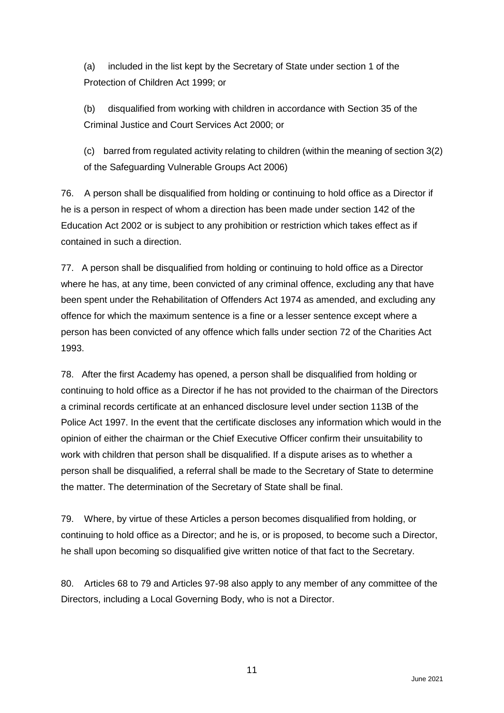(a) included in the list kept by the Secretary of State under section 1 of the Protection of Children Act 1999; or

(b) disqualified from working with children in accordance with Section 35 of the Criminal Justice and Court Services Act 2000; or

(c) barred from regulated activity relating to children (within the meaning of section 3(2) of the Safeguarding Vulnerable Groups Act 2006)

76. A person shall be disqualified from holding or continuing to hold office as a Director if he is a person in respect of whom a direction has been made under section 142 of the Education Act 2002 or is subject to any prohibition or restriction which takes effect as if contained in such a direction.

77. A person shall be disqualified from holding or continuing to hold office as a Director where he has, at any time, been convicted of any criminal offence, excluding any that have been spent under the Rehabilitation of Offenders Act 1974 as amended, and excluding any offence for which the maximum sentence is a fine or a lesser sentence except where a person has been convicted of any offence which falls under section 72 of the Charities Act 1993.

78. After the first Academy has opened, a person shall be disqualified from holding or continuing to hold office as a Director if he has not provided to the chairman of the Directors a criminal records certificate at an enhanced disclosure level under section 113B of the Police Act 1997. In the event that the certificate discloses any information which would in the opinion of either the chairman or the Chief Executive Officer confirm their unsuitability to work with children that person shall be disqualified. If a dispute arises as to whether a person shall be disqualified, a referral shall be made to the Secretary of State to determine the matter. The determination of the Secretary of State shall be final.

79. Where, by virtue of these Articles a person becomes disqualified from holding, or continuing to hold office as a Director; and he is, or is proposed, to become such a Director, he shall upon becoming so disqualified give written notice of that fact to the Secretary.

80. Articles 68 to 79 and Articles 97-98 also apply to any member of any committee of the Directors, including a Local Governing Body, who is not a Director.